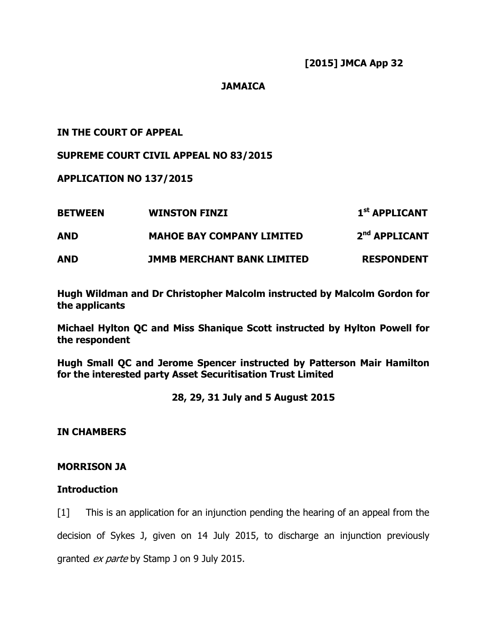# **JAMAICA**

# IN THE COURT OF APPEAL

# SUPREME COURT CIVIL APPEAL NO 83/2015

## APPLICATION NO 137/2015

| <b>BETWEEN</b> | <b>WINSTON FINZI</b>              | 1 <sup>st</sup> APPLICANT |
|----------------|-----------------------------------|---------------------------|
| AND            | <b>MAHOE BAY COMPANY LIMITED</b>  | 2 <sup>nd</sup> APPLICANT |
| <b>AND</b>     | <b>JMMB MERCHANT BANK LIMITED</b> | <b>RESPONDENT</b>         |

Hugh Wildman and Dr Christopher Malcolm instructed by Malcolm Gordon for the applicants

Michael Hylton QC and Miss Shanique Scott instructed by Hylton Powell for the respondent

Hugh Small QC and Jerome Spencer instructed by Patterson Mair Hamilton for the interested party Asset Securitisation Trust Limited

28, 29, 31 July and 5 August 2015

## IN CHAMBERS

## MORRISON JA

# **Introduction**

[1] This is an application for an injunction pending the hearing of an appeal from the decision of Sykes J, given on 14 July 2015, to discharge an injunction previously granted *ex parte* by Stamp J on 9 July 2015.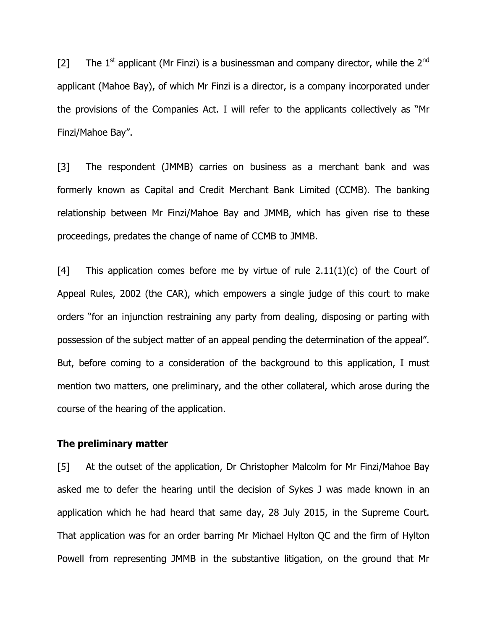[2] The  $1^{st}$  applicant (Mr Finzi) is a businessman and company director, while the  $2^{nd}$ applicant (Mahoe Bay), of which Mr Finzi is a director, is a company incorporated under the provisions of the Companies Act. I will refer to the applicants collectively as "Mr Finzi/Mahoe Bay".

[3] The respondent (JMMB) carries on business as a merchant bank and was formerly known as Capital and Credit Merchant Bank Limited (CCMB). The banking relationship between Mr Finzi/Mahoe Bay and JMMB, which has given rise to these proceedings, predates the change of name of CCMB to JMMB.

[4] This application comes before me by virtue of rule  $2.11(1)(c)$  of the Court of Appeal Rules, 2002 (the CAR), which empowers a single judge of this court to make orders "for an injunction restraining any party from dealing, disposing or parting with possession of the subject matter of an appeal pending the determination of the appeal". But, before coming to a consideration of the background to this application, I must mention two matters, one preliminary, and the other collateral, which arose during the course of the hearing of the application.

### The preliminary matter

[5] At the outset of the application, Dr Christopher Malcolm for Mr Finzi/Mahoe Bay asked me to defer the hearing until the decision of Sykes J was made known in an application which he had heard that same day, 28 July 2015, in the Supreme Court. That application was for an order barring Mr Michael Hylton QC and the firm of Hylton Powell from representing JMMB in the substantive litigation, on the ground that Mr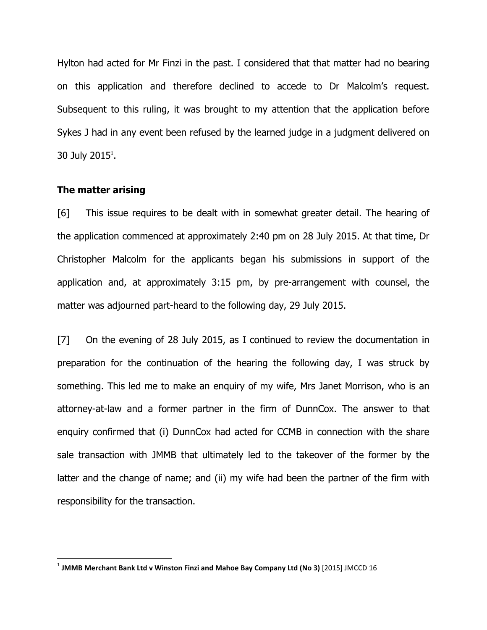Hylton had acted for Mr Finzi in the past. I considered that that matter had no bearing on this application and therefore declined to accede to Dr Malcolm's request. Subsequent to this ruling, it was brought to my attention that the application before Sykes J had in any event been refused by the learned judge in a judgment delivered on 30 July 2015<sup>1</sup>.

### The matter arising

 $\overline{a}$ 

[6] This issue requires to be dealt with in somewhat greater detail. The hearing of the application commenced at approximately 2:40 pm on 28 July 2015. At that time, Dr Christopher Malcolm for the applicants began his submissions in support of the application and, at approximately 3:15 pm, by pre-arrangement with counsel, the matter was adjourned part-heard to the following day, 29 July 2015.

[7] On the evening of 28 July 2015, as I continued to review the documentation in preparation for the continuation of the hearing the following day, I was struck by something. This led me to make an enquiry of my wife, Mrs Janet Morrison, who is an attorney-at-law and a former partner in the firm of DunnCox. The answer to that enquiry confirmed that (i) DunnCox had acted for CCMB in connection with the share sale transaction with JMMB that ultimately led to the takeover of the former by the latter and the change of name; and (ii) my wife had been the partner of the firm with responsibility for the transaction.

 $^1$  JMMB Merchant Bank Ltd v Winston Finzi and Mahoe Bay Company Ltd (No 3) [2015] JMCCD 16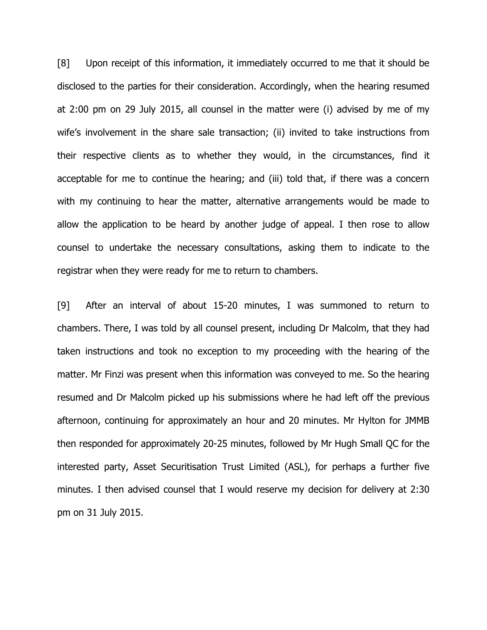[8] Upon receipt of this information, it immediately occurred to me that it should be disclosed to the parties for their consideration. Accordingly, when the hearing resumed at 2:00 pm on 29 July 2015, all counsel in the matter were (i) advised by me of my wife's involvement in the share sale transaction; (ii) invited to take instructions from their respective clients as to whether they would, in the circumstances, find it acceptable for me to continue the hearing; and (iii) told that, if there was a concern with my continuing to hear the matter, alternative arrangements would be made to allow the application to be heard by another judge of appeal. I then rose to allow counsel to undertake the necessary consultations, asking them to indicate to the registrar when they were ready for me to return to chambers.

[9] After an interval of about 15-20 minutes, I was summoned to return to chambers. There, I was told by all counsel present, including Dr Malcolm, that they had taken instructions and took no exception to my proceeding with the hearing of the matter. Mr Finzi was present when this information was conveyed to me. So the hearing resumed and Dr Malcolm picked up his submissions where he had left off the previous afternoon, continuing for approximately an hour and 20 minutes. Mr Hylton for JMMB then responded for approximately 20-25 minutes, followed by Mr Hugh Small QC for the interested party, Asset Securitisation Trust Limited (ASL), for perhaps a further five minutes. I then advised counsel that I would reserve my decision for delivery at 2:30 pm on 31 July 2015.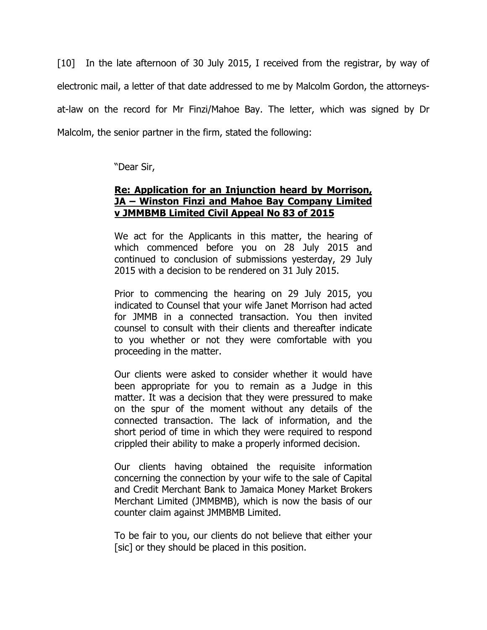[10] In the late afternoon of 30 July 2015, I received from the registrar, by way of electronic mail, a letter of that date addressed to me by Malcolm Gordon, the attorneysat-law on the record for Mr Finzi/Mahoe Bay. The letter, which was signed by Dr Malcolm, the senior partner in the firm, stated the following:

"Dear Sir,

# Re: Application for an Injunction heard by Morrison, JA – Winston Finzi and Mahoe Bay Company Limited v JMMBMB Limited Civil Appeal No 83 of 2015

We act for the Applicants in this matter, the hearing of which commenced before you on 28 July 2015 and continued to conclusion of submissions yesterday, 29 July 2015 with a decision to be rendered on 31 July 2015.

Prior to commencing the hearing on 29 July 2015, you indicated to Counsel that your wife Janet Morrison had acted for JMMB in a connected transaction. You then invited counsel to consult with their clients and thereafter indicate to you whether or not they were comfortable with you proceeding in the matter.

Our clients were asked to consider whether it would have been appropriate for you to remain as a Judge in this matter. It was a decision that they were pressured to make on the spur of the moment without any details of the connected transaction. The lack of information, and the short period of time in which they were required to respond crippled their ability to make a properly informed decision.

Our clients having obtained the requisite information concerning the connection by your wife to the sale of Capital and Credit Merchant Bank to Jamaica Money Market Brokers Merchant Limited (JMMBMB), which is now the basis of our counter claim against JMMBMB Limited.

To be fair to you, our clients do not believe that either your [sic] or they should be placed in this position.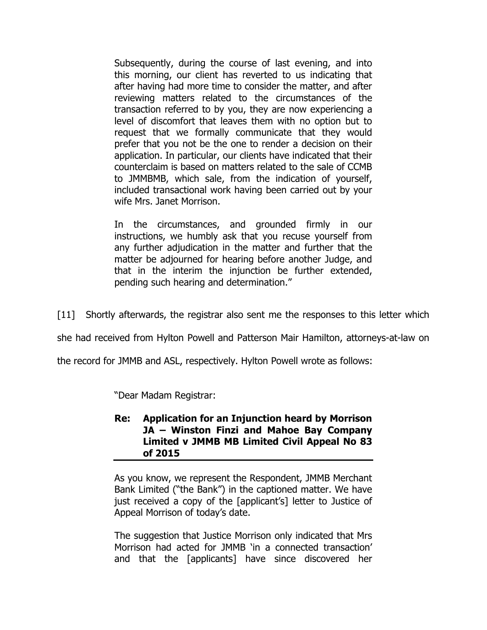Subsequently, during the course of last evening, and into this morning, our client has reverted to us indicating that after having had more time to consider the matter, and after reviewing matters related to the circumstances of the transaction referred to by you, they are now experiencing a level of discomfort that leaves them with no option but to request that we formally communicate that they would prefer that you not be the one to render a decision on their application. In particular, our clients have indicated that their counterclaim is based on matters related to the sale of CCMB to JMMBMB, which sale, from the indication of yourself, included transactional work having been carried out by your wife Mrs. Janet Morrison.

In the circumstances, and grounded firmly in our instructions, we humbly ask that you recuse yourself from any further adjudication in the matter and further that the matter be adjourned for hearing before another Judge, and that in the interim the injunction be further extended, pending such hearing and determination."

[11] Shortly afterwards, the registrar also sent me the responses to this letter which

she had received from Hylton Powell and Patterson Mair Hamilton, attorneys-at-law on

the record for JMMB and ASL, respectively. Hylton Powell wrote as follows:

"Dear Madam Registrar:

# Re: Application for an Injunction heard by Morrison JA – Winston Finzi and Mahoe Bay Company Limited v JMMB MB Limited Civil Appeal No 83 of 2015

As you know, we represent the Respondent, JMMB Merchant Bank Limited ("the Bank") in the captioned matter. We have just received a copy of the [applicant's] letter to Justice of Appeal Morrison of today's date.

The suggestion that Justice Morrison only indicated that Mrs Morrison had acted for JMMB 'in a connected transaction' and that the [applicants] have since discovered her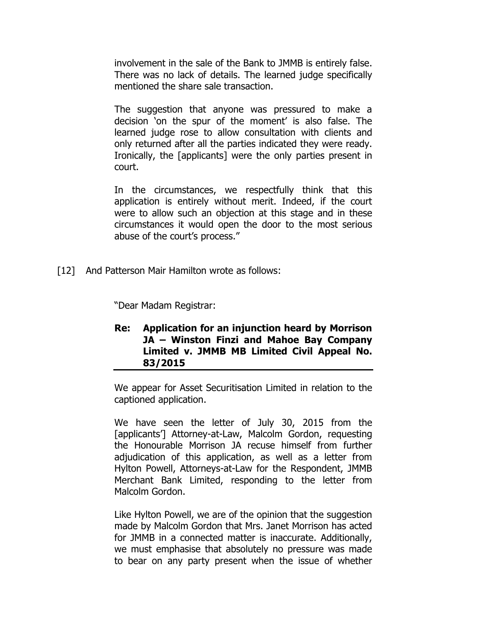involvement in the sale of the Bank to JMMB is entirely false. There was no lack of details. The learned judge specifically mentioned the share sale transaction.

The suggestion that anyone was pressured to make a decision 'on the spur of the moment' is also false. The learned judge rose to allow consultation with clients and only returned after all the parties indicated they were ready. Ironically, the [applicants] were the only parties present in court.

In the circumstances, we respectfully think that this application is entirely without merit. Indeed, if the court were to allow such an objection at this stage and in these circumstances it would open the door to the most serious abuse of the court's process."

[12] And Patterson Mair Hamilton wrote as follows:

"Dear Madam Registrar:

Re: Application for an injunction heard by Morrison JA – Winston Finzi and Mahoe Bay Company Limited v. JMMB MB Limited Civil Appeal No. 83/2015

We appear for Asset Securitisation Limited in relation to the captioned application.

We have seen the letter of July 30, 2015 from the [applicants'] Attorney-at-Law, Malcolm Gordon, requesting the Honourable Morrison JA recuse himself from further adjudication of this application, as well as a letter from Hylton Powell, Attorneys-at-Law for the Respondent, JMMB Merchant Bank Limited, responding to the letter from Malcolm Gordon.

Like Hylton Powell, we are of the opinion that the suggestion made by Malcolm Gordon that Mrs. Janet Morrison has acted for JMMB in a connected matter is inaccurate. Additionally, we must emphasise that absolutely no pressure was made to bear on any party present when the issue of whether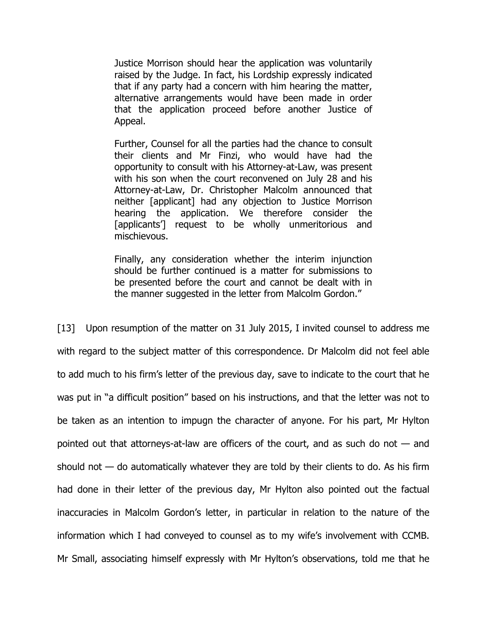Justice Morrison should hear the application was voluntarily raised by the Judge. In fact, his Lordship expressly indicated that if any party had a concern with him hearing the matter, alternative arrangements would have been made in order that the application proceed before another Justice of Appeal.

Further, Counsel for all the parties had the chance to consult their clients and Mr Finzi, who would have had the opportunity to consult with his Attorney-at-Law, was present with his son when the court reconvened on July 28 and his Attorney-at-Law, Dr. Christopher Malcolm announced that neither [applicant] had any objection to Justice Morrison hearing the application. We therefore consider the [applicants<sup>'</sup>] request to be wholly unmeritorious and mischievous.

Finally, any consideration whether the interim injunction should be further continued is a matter for submissions to be presented before the court and cannot be dealt with in the manner suggested in the letter from Malcolm Gordon."

[13] Upon resumption of the matter on 31 July 2015, I invited counsel to address me with regard to the subject matter of this correspondence. Dr Malcolm did not feel able to add much to his firm's letter of the previous day, save to indicate to the court that he was put in "a difficult position" based on his instructions, and that the letter was not to be taken as an intention to impugn the character of anyone. For his part, Mr Hylton pointed out that attorneys-at-law are officers of the court, and as such do not — and should not  $-$  do automatically whatever they are told by their clients to do. As his firm had done in their letter of the previous day, Mr Hylton also pointed out the factual inaccuracies in Malcolm Gordon's letter, in particular in relation to the nature of the information which I had conveyed to counsel as to my wife's involvement with CCMB. Mr Small, associating himself expressly with Mr Hylton's observations, told me that he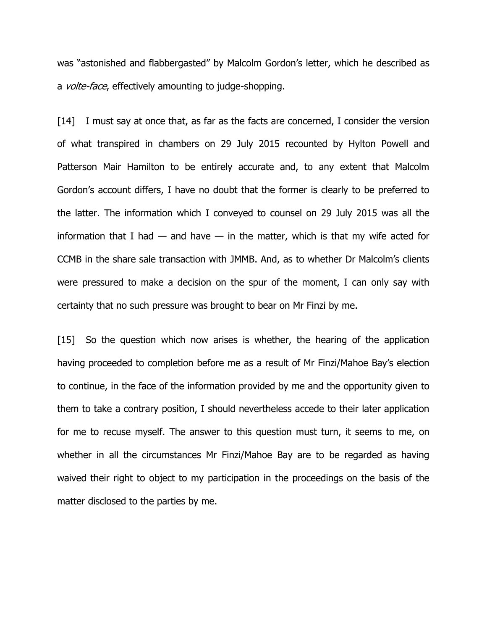was "astonished and flabbergasted" by Malcolm Gordon's letter, which he described as a *volte-face*, effectively amounting to judge-shopping.

[14] I must say at once that, as far as the facts are concerned, I consider the version of what transpired in chambers on 29 July 2015 recounted by Hylton Powell and Patterson Mair Hamilton to be entirely accurate and, to any extent that Malcolm Gordon's account differs, I have no doubt that the former is clearly to be preferred to the latter. The information which I conveyed to counsel on 29 July 2015 was all the information that I had  $-$  and have  $-$  in the matter, which is that my wife acted for CCMB in the share sale transaction with JMMB. And, as to whether Dr Malcolm's clients were pressured to make a decision on the spur of the moment, I can only say with certainty that no such pressure was brought to bear on Mr Finzi by me.

[15] So the question which now arises is whether, the hearing of the application having proceeded to completion before me as a result of Mr Finzi/Mahoe Bay's election to continue, in the face of the information provided by me and the opportunity given to them to take a contrary position, I should nevertheless accede to their later application for me to recuse myself. The answer to this question must turn, it seems to me, on whether in all the circumstances Mr Finzi/Mahoe Bay are to be regarded as having waived their right to object to my participation in the proceedings on the basis of the matter disclosed to the parties by me.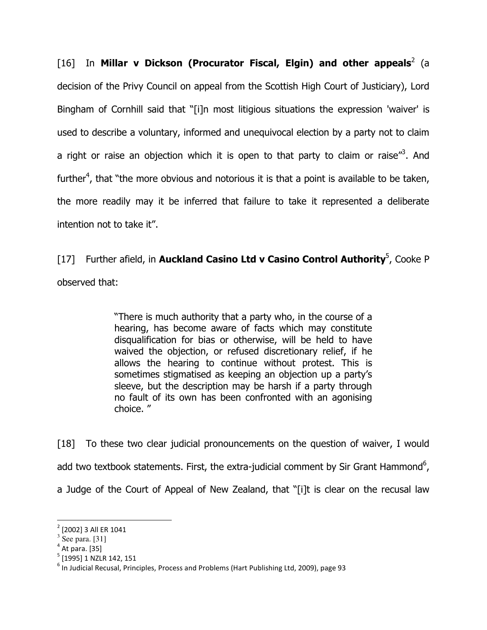[16] In Millar v Dickson (Procurator Fiscal, Elgin) and other appeals<sup>2</sup> (a decision of the Privy Council on appeal from the Scottish High Court of Justiciary), Lord Bingham of Cornhill said that "[i]n most litigious situations the expression 'waiver' is used to describe a voluntary, informed and unequivocal election by a party not to claim a right or raise an objection which it is open to that party to claim or raise"<sup>3</sup>. And further<sup>4</sup>, that "the more obvious and notorious it is that a point is available to be taken, the more readily may it be inferred that failure to take it represented a deliberate intention not to take it".

[17] Further afield, in Auckland Casino Ltd v Casino Control Authority<sup>5</sup>, Cooke P observed that:

> "There is much authority that a party who, in the course of a hearing, has become aware of facts which may constitute disqualification for bias or otherwise, will be held to have waived the objection, or refused discretionary relief, if he allows the hearing to continue without protest. This is sometimes stigmatised as keeping an objection up a party's sleeve, but the description may be harsh if a party through no fault of its own has been confronted with an agonising choice. "

[18] To these two clear judicial pronouncements on the question of waiver, I would add two textbook statements. First, the extra-judicial comment by Sir Grant Hammond<sup>6</sup>, a Judge of the Court of Appeal of New Zealand, that "[i]t is clear on the recusal law

<sup>2</sup> [2002] 3 All ER 1041

 $3$  See para. [31]

 $<sup>4</sup>$  At para. [35]</sup>

<sup>&</sup>lt;sup>5</sup> [1995] 1 NZLR 142, 151

<sup>&</sup>lt;sup>6</sup> In Judicial Recusal, Principles, Process and Problems (Hart Publishing Ltd, 2009), page 93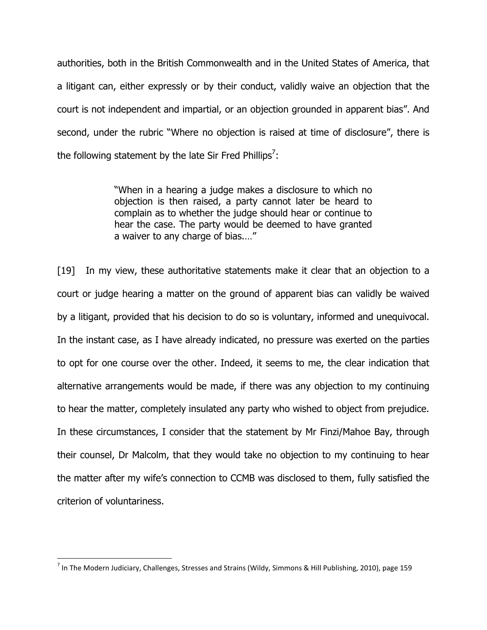authorities, both in the British Commonwealth and in the United States of America, that a litigant can, either expressly or by their conduct, validly waive an objection that the court is not independent and impartial, or an objection grounded in apparent bias". And second, under the rubric "Where no objection is raised at time of disclosure", there is the following statement by the late Sir Fred Phillips<sup>7</sup>:

> "When in a hearing a judge makes a disclosure to which no objection is then raised, a party cannot later be heard to complain as to whether the judge should hear or continue to hear the case. The party would be deemed to have granted a waiver to any charge of bias.…"

[19] In my view, these authoritative statements make it clear that an objection to a court or judge hearing a matter on the ground of apparent bias can validly be waived by a litigant, provided that his decision to do so is voluntary, informed and unequivocal. In the instant case, as I have already indicated, no pressure was exerted on the parties to opt for one course over the other. Indeed, it seems to me, the clear indication that alternative arrangements would be made, if there was any objection to my continuing to hear the matter, completely insulated any party who wished to object from prejudice. In these circumstances, I consider that the statement by Mr Finzi/Mahoe Bay, through their counsel, Dr Malcolm, that they would take no objection to my continuing to hear the matter after my wife's connection to CCMB was disclosed to them, fully satisfied the criterion of voluntariness.

 $^7$  In The Modern Judiciary, Challenges, Stresses and Strains (Wildy, Simmons & Hill Publishing, 2010), page 159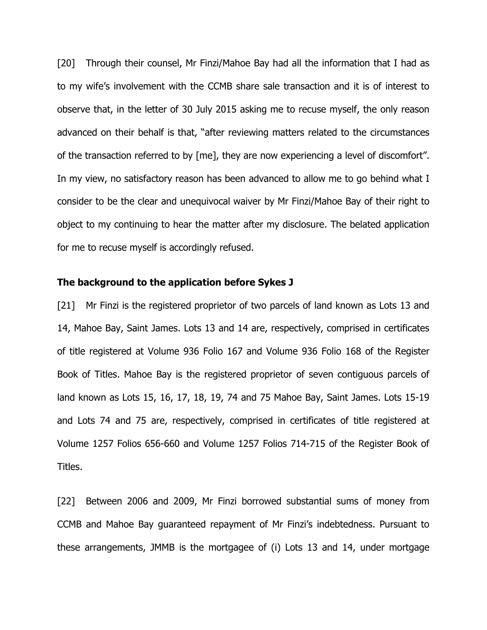[20] Through their counsel, Mr Finzi/Mahoe Bay had all the information that I had as to my wife's involvement with the CCMB share sale transaction and it is of interest to observe that, in the letter of 30 July 2015 asking me to recuse myself, the only reason advanced on their behalf is that, "after reviewing matters related to the circumstances of the transaction referred to by [me], they are now experiencing a level of discomfort". In my view, no satisfactory reason has been advanced to allow me to go behind what I consider to be the clear and unequivocal waiver by Mr Finzi/Mahoe Bay of their right to object to my continuing to hear the matter after my disclosure. The belated application for me to recuse myself is accordingly refused.

#### The background to the application before Sykes J

[21] Mr Finzi is the registered proprietor of two parcels of land known as Lots 13 and 14, Mahoe Bay, Saint James. Lots 13 and 14 are, respectively, comprised in certificates of title registered at Volume 936 Folio 167 and Volume 936 Folio 168 of the Register Book of Titles. Mahoe Bay is the registered proprietor of seven contiguous parcels of land known as Lots 15, 16, 17, 18, 19, 74 and 75 Mahoe Bay, Saint James. Lots 15-19 and Lots 74 and 75 are, respectively, comprised in certificates of title registered at Volume 1257 Folios 656-660 and Volume 1257 Folios 714-715 of the Register Book of Titles.

[22] Between 2006 and 2009, Mr Finzi borrowed substantial sums of money from CCMB and Mahoe Bay guaranteed repayment of Mr Finzi's indebtedness. Pursuant to these arrangements, JMMB is the mortgagee of (i) Lots 13 and 14, under mortgage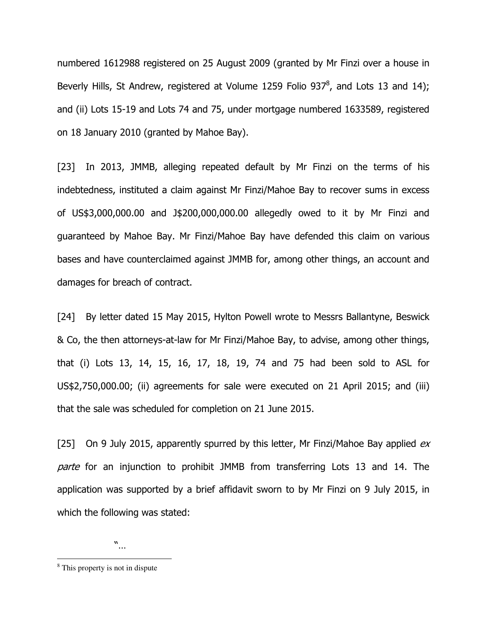numbered 1612988 registered on 25 August 2009 (granted by Mr Finzi over a house in Beverly Hills, St Andrew, registered at Volume 1259 Folio 937 $^8$ , and Lots 13 and 14); and (ii) Lots 15-19 and Lots 74 and 75, under mortgage numbered 1633589, registered on 18 January 2010 (granted by Mahoe Bay).

[23] In 2013, JMMB, alleging repeated default by Mr Finzi on the terms of his indebtedness, instituted a claim against Mr Finzi/Mahoe Bay to recover sums in excess of US\$3,000,000.00 and J\$200,000,000.00 allegedly owed to it by Mr Finzi and guaranteed by Mahoe Bay. Mr Finzi/Mahoe Bay have defended this claim on various bases and have counterclaimed against JMMB for, among other things, an account and damages for breach of contract.

[24] By letter dated 15 May 2015, Hylton Powell wrote to Messrs Ballantyne, Beswick & Co, the then attorneys-at-law for Mr Finzi/Mahoe Bay, to advise, among other things, that (i) Lots 13, 14, 15, 16, 17, 18, 19, 74 and 75 had been sold to ASL for US\$2,750,000.00; (ii) agreements for sale were executed on 21 April 2015; and (iii) that the sale was scheduled for completion on 21 June 2015.

[25] On 9 July 2015, apparently spurred by this letter, Mr Finzi/Mahoe Bay applied  $ex$ parte for an injunction to prohibit JMMB from transferring Lots 13 and 14. The application was supported by a brief affidavit sworn to by Mr Finzi on 9 July 2015, in which the following was stated:

"…

<sup>&</sup>lt;sup>8</sup> This property is not in dispute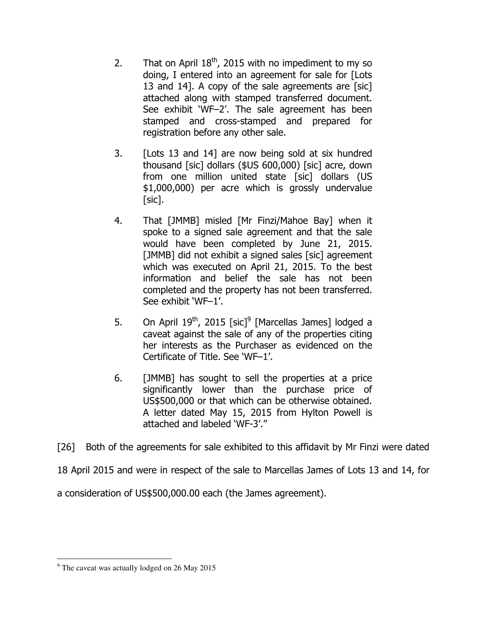- 2. That on April  $18^{th}$ , 2015 with no impediment to my so doing, I entered into an agreement for sale for [Lots 13 and 14]. A copy of the sale agreements are [sic] attached along with stamped transferred document. See exhibit 'WF–2'. The sale agreement has been stamped and cross-stamped and prepared for registration before any other sale.
- 3. [Lots 13 and 14] are now being sold at six hundred thousand [sic] dollars (\$US 600,000) [sic] acre, down from one million united state [sic] dollars (US \$1,000,000) per acre which is grossly undervalue [sic].
- 4. That [JMMB] misled [Mr Finzi/Mahoe Bay] when it spoke to a signed sale agreement and that the sale would have been completed by June 21, 2015. [JMMB] did not exhibit a signed sales [sic] agreement which was executed on April 21, 2015. To the best information and belief the sale has not been completed and the property has not been transferred. See exhibit 'WF–1'.
- 5. On April  $19^{th}$ , 2015 [sic]<sup>9</sup> [Marcellas James] lodged a caveat against the sale of any of the properties citing her interests as the Purchaser as evidenced on the Certificate of Title. See 'WF–1'.
- 6. [JMMB] has sought to sell the properties at a price significantly lower than the purchase price of US\$500,000 or that which can be otherwise obtained. A letter dated May 15, 2015 from Hylton Powell is attached and labeled 'WF-3'."

[26] Both of the agreements for sale exhibited to this affidavit by Mr Finzi were dated

18 April 2015 and were in respect of the sale to Marcellas James of Lots 13 and 14, for

a consideration of US\$500,000.00 each (the James agreement).

 $9$  The caveat was actually lodged on 26 May 2015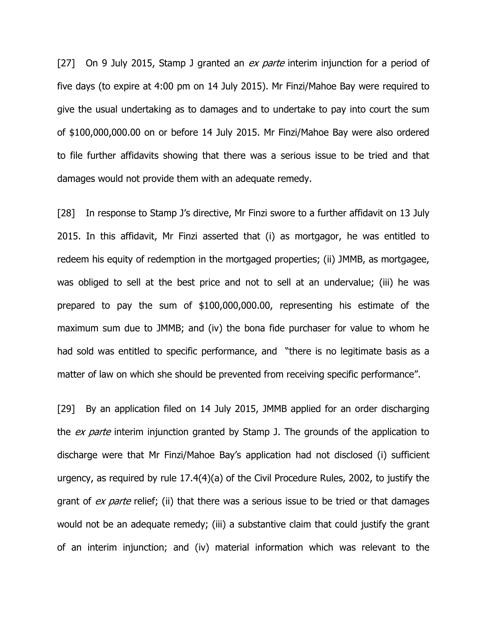[27] On 9 July 2015, Stamp J granted an  $ex$  parte interim injunction for a period of five days (to expire at 4:00 pm on 14 July 2015). Mr Finzi/Mahoe Bay were required to give the usual undertaking as to damages and to undertake to pay into court the sum of \$100,000,000.00 on or before 14 July 2015. Mr Finzi/Mahoe Bay were also ordered to file further affidavits showing that there was a serious issue to be tried and that damages would not provide them with an adequate remedy.

[28] In response to Stamp J's directive, Mr Finzi swore to a further affidavit on 13 July 2015. In this affidavit, Mr Finzi asserted that (i) as mortgagor, he was entitled to redeem his equity of redemption in the mortgaged properties; (ii) JMMB, as mortgagee, was obliged to sell at the best price and not to sell at an undervalue; (iii) he was prepared to pay the sum of \$100,000,000.00, representing his estimate of the maximum sum due to JMMB; and (iv) the bona fide purchaser for value to whom he had sold was entitled to specific performance, and "there is no legitimate basis as a matter of law on which she should be prevented from receiving specific performance".

[29] By an application filed on 14 July 2015, JMMB applied for an order discharging the *ex parte* interim injunction granted by Stamp J. The grounds of the application to discharge were that Mr Finzi/Mahoe Bay's application had not disclosed (i) sufficient urgency, as required by rule 17.4(4)(a) of the Civil Procedure Rules, 2002, to justify the grant of *ex parte* relief; (ii) that there was a serious issue to be tried or that damages would not be an adequate remedy; (iii) a substantive claim that could justify the grant of an interim injunction; and (iv) material information which was relevant to the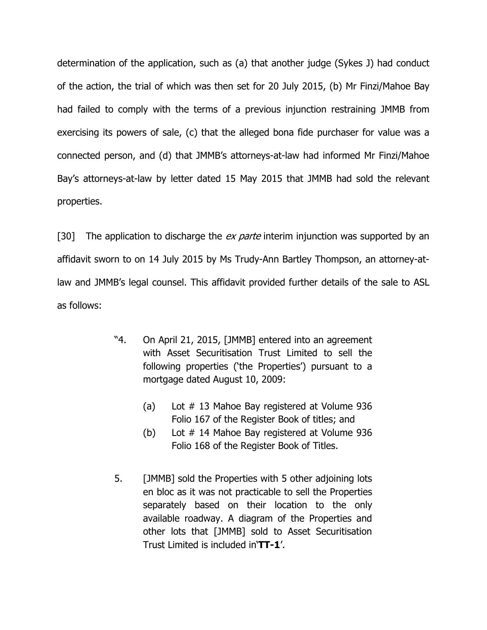determination of the application, such as (a) that another judge (Sykes J) had conduct of the action, the trial of which was then set for 20 July 2015, (b) Mr Finzi/Mahoe Bay had failed to comply with the terms of a previous injunction restraining JMMB from exercising its powers of sale, (c) that the alleged bona fide purchaser for value was a connected person, and (d) that JMMB's attorneys-at-law had informed Mr Finzi/Mahoe Bay's attorneys-at-law by letter dated 15 May 2015 that JMMB had sold the relevant properties.

[30] The application to discharge the *ex parte* interim injunction was supported by an affidavit sworn to on 14 July 2015 by Ms Trudy-Ann Bartley Thompson, an attorney-atlaw and JMMB's legal counsel. This affidavit provided further details of the sale to ASL as follows:

- "4. On April 21, 2015, [JMMB] entered into an agreement with Asset Securitisation Trust Limited to sell the following properties ('the Properties') pursuant to a mortgage dated August 10, 2009:
	- (a) Lot # 13 Mahoe Bay registered at Volume 936 Folio 167 of the Register Book of titles; and
	- (b) Lot # 14 Mahoe Bay registered at Volume 936 Folio 168 of the Register Book of Titles.
- 5. [JMMB] sold the Properties with 5 other adjoining lots en bloc as it was not practicable to sell the Properties separately based on their location to the only available roadway. A diagram of the Properties and other lots that [JMMB] sold to Asset Securitisation Trust Limited is included in'TT-1'.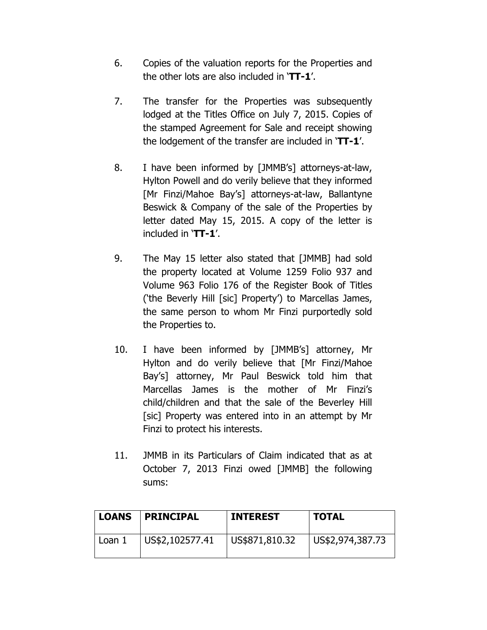- 6. Copies of the valuation reports for the Properties and the other lots are also included in 'TT-1'.
- 7. The transfer for the Properties was subsequently lodged at the Titles Office on July 7, 2015. Copies of the stamped Agreement for Sale and receipt showing the lodgement of the transfer are included in 'TT-1'.
- 8. I have been informed by [JMMB's] attorneys-at-law, Hylton Powell and do verily believe that they informed [Mr Finzi/Mahoe Bay's] attorneys-at-law, Ballantyne Beswick & Company of the sale of the Properties by letter dated May 15, 2015. A copy of the letter is included in 'TT-1'.
- 9. The May 15 letter also stated that [JMMB] had sold the property located at Volume 1259 Folio 937 and Volume 963 Folio 176 of the Register Book of Titles ('the Beverly Hill [sic] Property') to Marcellas James, the same person to whom Mr Finzi purportedly sold the Properties to.
- 10. I have been informed by [JMMB's] attorney, Mr Hylton and do verily believe that [Mr Finzi/Mahoe Bay's] attorney, Mr Paul Beswick told him that Marcellas James is the mother of Mr Finzi's child/children and that the sale of the Beverley Hill [sic] Property was entered into in an attempt by Mr Finzi to protect his interests.
- 11. JMMB in its Particulars of Claim indicated that as at October 7, 2013 Finzi owed [JMMB] the following sums:

| LOANS  | <b>PRINCIPAL</b>        | <b>INTEREST</b> | <b>TOTAL</b>     |
|--------|-------------------------|-----------------|------------------|
| Loan 1 | $\vert$ US\$2,102577.41 | US\$871,810.32  | US\$2,974,387.73 |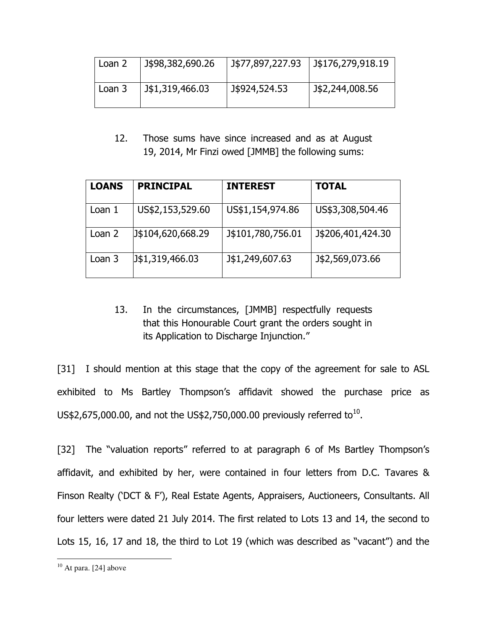| Loan 2 | J\$98,382,690.26 | J\$77,897,227.93 | J\$176,279,918.19 |
|--------|------------------|------------------|-------------------|
| Loan 3 | J\$1,319,466.03  | J\$924,524.53    | J\$2,244,008.56   |

12. Those sums have since increased and as at August 19, 2014, Mr Finzi owed [JMMB] the following sums:

| <b>LOANS</b> | <b>PRINCIPAL</b>  | <b>INTEREST</b>   | <b>TOTAL</b>      |
|--------------|-------------------|-------------------|-------------------|
| Loan 1       | US\$2,153,529.60  | US\$1,154,974.86  | US\$3,308,504.46  |
| Loan 2       | J\$104,620,668.29 | J\$101,780,756.01 | J\$206,401,424.30 |
| Loan 3       | J\$1,319,466.03   | J\$1,249,607.63   | J\$2,569,073.66   |

# 13. In the circumstances, [JMMB] respectfully requests that this Honourable Court grant the orders sought in its Application to Discharge Injunction."

[31] I should mention at this stage that the copy of the agreement for sale to ASL exhibited to Ms Bartley Thompson's affidavit showed the purchase price as US\$2,675,000.00, and not the US\$2,750,000.00 previously referred to<sup>10</sup>.

[32] The "valuation reports" referred to at paragraph 6 of Ms Bartley Thompson's affidavit, and exhibited by her, were contained in four letters from D.C. Tavares & Finson Realty ('DCT & F'), Real Estate Agents, Appraisers, Auctioneers, Consultants. All four letters were dated 21 July 2014. The first related to Lots 13 and 14, the second to Lots 15, 16, 17 and 18, the third to Lot 19 (which was described as "vacant") and the

l  $10$  At para. [24] above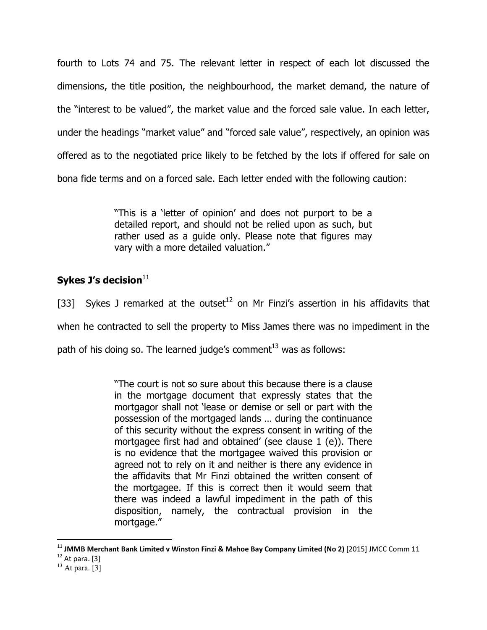fourth to Lots 74 and 75. The relevant letter in respect of each lot discussed the dimensions, the title position, the neighbourhood, the market demand, the nature of the "interest to be valued", the market value and the forced sale value. In each letter, under the headings "market value" and "forced sale value", respectively, an opinion was offered as to the negotiated price likely to be fetched by the lots if offered for sale on bona fide terms and on a forced sale. Each letter ended with the following caution:

> "This is a 'letter of opinion' and does not purport to be a detailed report, and should not be relied upon as such, but rather used as a guide only. Please note that figures may vary with a more detailed valuation."

# Sykes J's decision $11$

[33] Sykes J remarked at the outset<sup>12</sup> on Mr Finzi's assertion in his affidavits that when he contracted to sell the property to Miss James there was no impediment in the path of his doing so. The learned judge's comment $^{13}$  was as follows:

> "The court is not so sure about this because there is a clause in the mortgage document that expressly states that the mortgagor shall not 'lease or demise or sell or part with the possession of the mortgaged lands … during the continuance of this security without the express consent in writing of the mortgagee first had and obtained' (see clause 1 (e)). There is no evidence that the mortgagee waived this provision or agreed not to rely on it and neither is there any evidence in the affidavits that Mr Finzi obtained the written consent of the mortgagee. If this is correct then it would seem that there was indeed a lawful impediment in the path of this disposition, namely, the contractual provision in the mortgage."

 $^{11}$  JMMB Merchant Bank Limited v Winston Finzi & Mahoe Bay Company Limited (No 2) [2015] JMCC Comm 11

 $12$  At para. [3]

 $13$  At para. [3]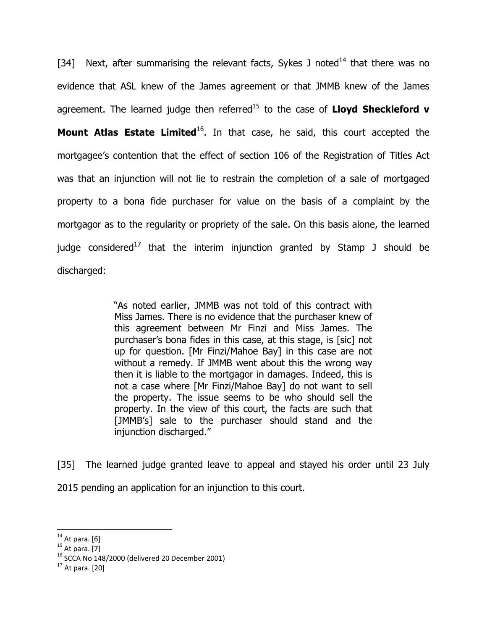[34] Next, after summarising the relevant facts, Sykes J noted<sup>14</sup> that there was no evidence that ASL knew of the James agreement or that JMMB knew of the James agreement. The learned judge then referred<sup>15</sup> to the case of **Lloyd Sheckleford v Mount Atlas Estate Limited**<sup>16</sup>. In that case, he said, this court accepted the mortgagee's contention that the effect of section 106 of the Registration of Titles Act was that an injunction will not lie to restrain the completion of a sale of mortgaged property to a bona fide purchaser for value on the basis of a complaint by the mortgagor as to the regularity or propriety of the sale. On this basis alone, the learned judge considered<sup>17</sup> that the interim injunction granted by Stamp J should be discharged:

> "As noted earlier, JMMB was not told of this contract with Miss James. There is no evidence that the purchaser knew of this agreement between Mr Finzi and Miss James. The purchaser's bona fides in this case, at this stage, is [sic] not up for question. [Mr Finzi/Mahoe Bay] in this case are not without a remedy. If JMMB went about this the wrong way then it is liable to the mortgagor in damages. Indeed, this is not a case where [Mr Finzi/Mahoe Bay] do not want to sell the property. The issue seems to be who should sell the property. In the view of this court, the facts are such that [JMMB's] sale to the purchaser should stand and the injunction discharged."

[35] The learned judge granted leave to appeal and stayed his order until 23 July 2015 pending an application for an injunction to this court.

 $\overline{a}$  $14$  At para. [6]

 $15$  At para. [7]

<sup>16</sup> SCCA No 148/2000 (delivered 20 December 2001)

 $17$  At para. [20]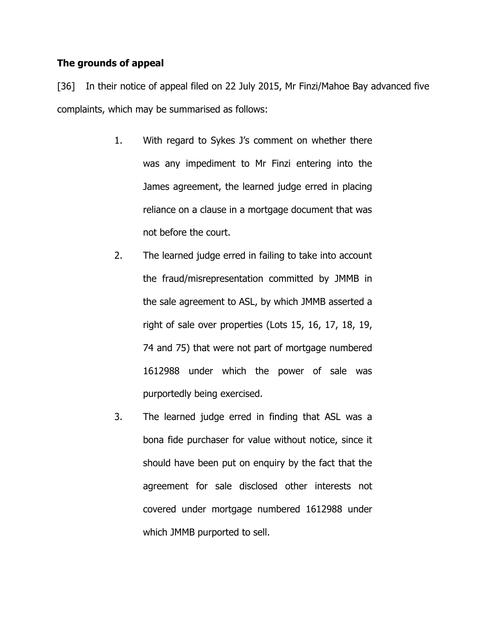# The grounds of appeal

[36] In their notice of appeal filed on 22 July 2015, Mr Finzi/Mahoe Bay advanced five complaints, which may be summarised as follows:

- 1. With regard to Sykes J's comment on whether there was any impediment to Mr Finzi entering into the James agreement, the learned judge erred in placing reliance on a clause in a mortgage document that was not before the court.
- 2. The learned judge erred in failing to take into account the fraud/misrepresentation committed by JMMB in the sale agreement to ASL, by which JMMB asserted a right of sale over properties (Lots 15, 16, 17, 18, 19, 74 and 75) that were not part of mortgage numbered 1612988 under which the power of sale was purportedly being exercised.
- 3. The learned judge erred in finding that ASL was a bona fide purchaser for value without notice, since it should have been put on enquiry by the fact that the agreement for sale disclosed other interests not covered under mortgage numbered 1612988 under which JMMB purported to sell.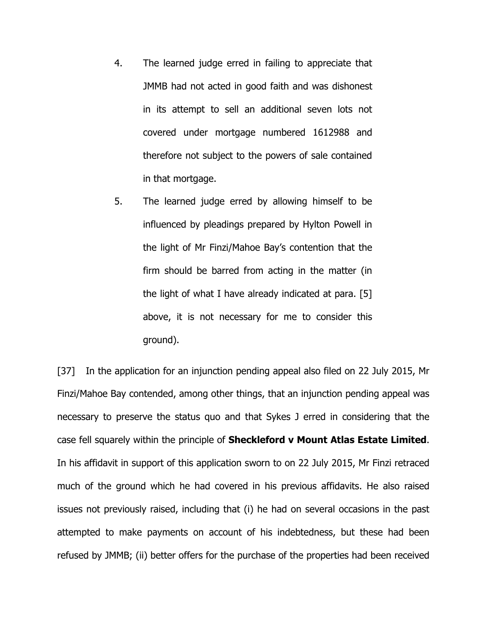- 4. The learned judge erred in failing to appreciate that JMMB had not acted in good faith and was dishonest in its attempt to sell an additional seven lots not covered under mortgage numbered 1612988 and therefore not subject to the powers of sale contained in that mortgage.
- 5. The learned judge erred by allowing himself to be influenced by pleadings prepared by Hylton Powell in the light of Mr Finzi/Mahoe Bay's contention that the firm should be barred from acting in the matter (in the light of what I have already indicated at para. [5] above, it is not necessary for me to consider this ground).

[37] In the application for an injunction pending appeal also filed on 22 July 2015, Mr Finzi/Mahoe Bay contended, among other things, that an injunction pending appeal was necessary to preserve the status quo and that Sykes J erred in considering that the case fell squarely within the principle of Sheckleford v Mount Atlas Estate Limited. In his affidavit in support of this application sworn to on 22 July 2015, Mr Finzi retraced much of the ground which he had covered in his previous affidavits. He also raised issues not previously raised, including that (i) he had on several occasions in the past attempted to make payments on account of his indebtedness, but these had been refused by JMMB; (ii) better offers for the purchase of the properties had been received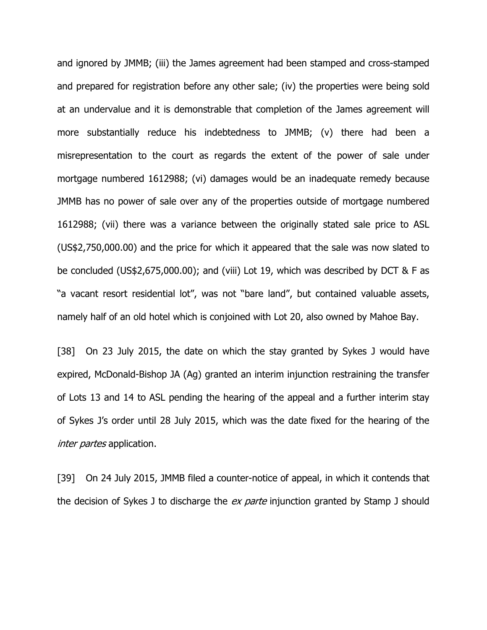and ignored by JMMB; (iii) the James agreement had been stamped and cross-stamped and prepared for registration before any other sale; (iv) the properties were being sold at an undervalue and it is demonstrable that completion of the James agreement will more substantially reduce his indebtedness to JMMB; (v) there had been a misrepresentation to the court as regards the extent of the power of sale under mortgage numbered 1612988; (vi) damages would be an inadequate remedy because JMMB has no power of sale over any of the properties outside of mortgage numbered 1612988; (vii) there was a variance between the originally stated sale price to ASL (US\$2,750,000.00) and the price for which it appeared that the sale was now slated to be concluded (US\$2,675,000.00); and (viii) Lot 19, which was described by DCT & F as "a vacant resort residential lot", was not "bare land", but contained valuable assets, namely half of an old hotel which is conjoined with Lot 20, also owned by Mahoe Bay.

[38] On 23 July 2015, the date on which the stay granted by Sykes J would have expired, McDonald-Bishop JA (Ag) granted an interim injunction restraining the transfer of Lots 13 and 14 to ASL pending the hearing of the appeal and a further interim stay of Sykes J's order until 28 July 2015, which was the date fixed for the hearing of the inter partes application.

[39] On 24 July 2015, JMMB filed a counter-notice of appeal, in which it contends that the decision of Sykes J to discharge the *ex parte* injunction granted by Stamp J should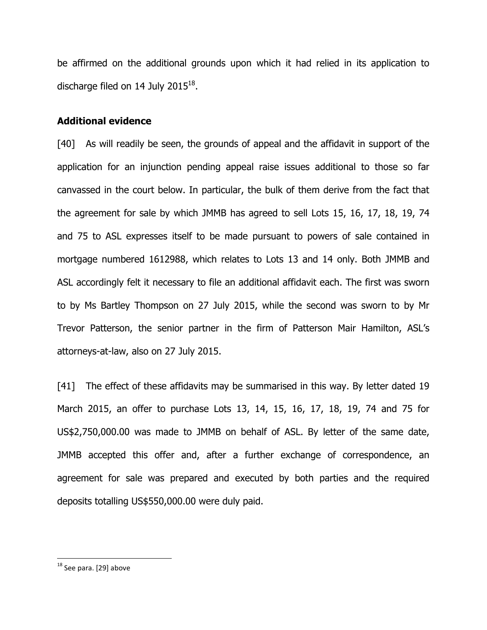be affirmed on the additional grounds upon which it had relied in its application to discharge filed on 14 July 2015 $^{18}$ .

### Additional evidence

[40] As will readily be seen, the grounds of appeal and the affidavit in support of the application for an injunction pending appeal raise issues additional to those so far canvassed in the court below. In particular, the bulk of them derive from the fact that the agreement for sale by which JMMB has agreed to sell Lots 15, 16, 17, 18, 19, 74 and 75 to ASL expresses itself to be made pursuant to powers of sale contained in mortgage numbered 1612988, which relates to Lots 13 and 14 only. Both JMMB and ASL accordingly felt it necessary to file an additional affidavit each. The first was sworn to by Ms Bartley Thompson on 27 July 2015, while the second was sworn to by Mr Trevor Patterson, the senior partner in the firm of Patterson Mair Hamilton, ASL's attorneys-at-law, also on 27 July 2015.

[41] The effect of these affidavits may be summarised in this way. By letter dated 19 March 2015, an offer to purchase Lots 13, 14, 15, 16, 17, 18, 19, 74 and 75 for US\$2,750,000.00 was made to JMMB on behalf of ASL. By letter of the same date, JMMB accepted this offer and, after a further exchange of correspondence, an agreement for sale was prepared and executed by both parties and the required deposits totalling US\$550,000.00 were duly paid.

 $^{18}$  See para. [29] above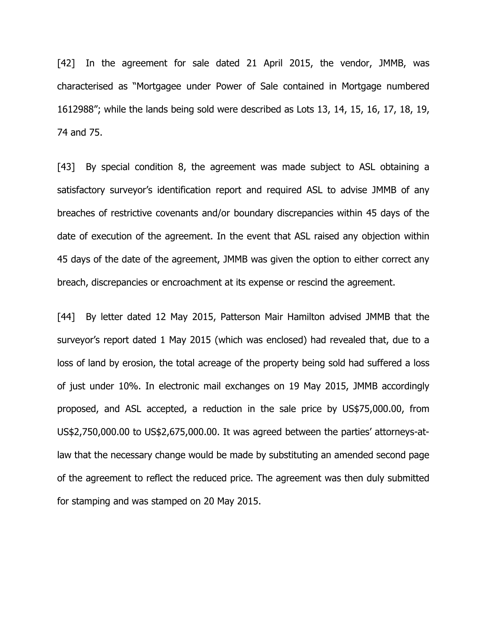[42] In the agreement for sale dated 21 April 2015, the vendor, JMMB, was characterised as "Mortgagee under Power of Sale contained in Mortgage numbered 1612988"; while the lands being sold were described as Lots 13, 14, 15, 16, 17, 18, 19, 74 and 75.

[43] By special condition 8, the agreement was made subject to ASL obtaining a satisfactory surveyor's identification report and required ASL to advise JMMB of any breaches of restrictive covenants and/or boundary discrepancies within 45 days of the date of execution of the agreement. In the event that ASL raised any objection within 45 days of the date of the agreement, JMMB was given the option to either correct any breach, discrepancies or encroachment at its expense or rescind the agreement.

[44] By letter dated 12 May 2015, Patterson Mair Hamilton advised JMMB that the surveyor's report dated 1 May 2015 (which was enclosed) had revealed that, due to a loss of land by erosion, the total acreage of the property being sold had suffered a loss of just under 10%. In electronic mail exchanges on 19 May 2015, JMMB accordingly proposed, and ASL accepted, a reduction in the sale price by US\$75,000.00, from US\$2,750,000.00 to US\$2,675,000.00. It was agreed between the parties' attorneys-atlaw that the necessary change would be made by substituting an amended second page of the agreement to reflect the reduced price. The agreement was then duly submitted for stamping and was stamped on 20 May 2015.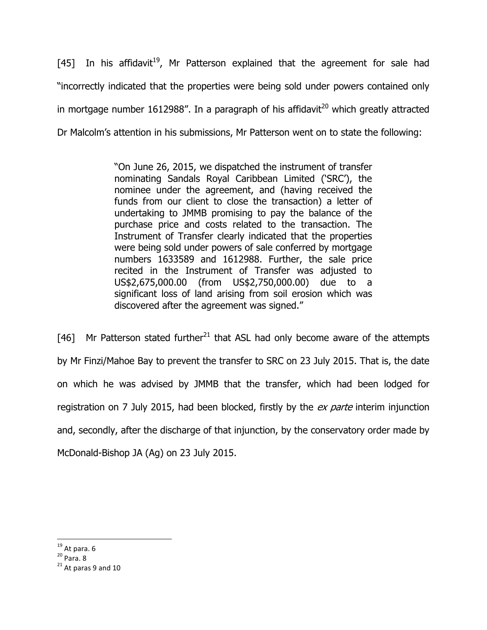[45] In his affidavit<sup>19</sup>, Mr Patterson explained that the agreement for sale had "incorrectly indicated that the properties were being sold under powers contained only in mortgage number 1612988". In a paragraph of his affidavit<sup>20</sup> which greatly attracted Dr Malcolm's attention in his submissions, Mr Patterson went on to state the following:

> "On June 26, 2015, we dispatched the instrument of transfer nominating Sandals Royal Caribbean Limited ('SRC'), the nominee under the agreement, and (having received the funds from our client to close the transaction) a letter of undertaking to JMMB promising to pay the balance of the purchase price and costs related to the transaction. The Instrument of Transfer clearly indicated that the properties were being sold under powers of sale conferred by mortgage numbers 1633589 and 1612988. Further, the sale price recited in the Instrument of Transfer was adjusted to US\$2,675,000.00 (from US\$2,750,000.00) due to a significant loss of land arising from soil erosion which was discovered after the agreement was signed."

[46] Mr Patterson stated further<sup>21</sup> that ASL had only become aware of the attempts by Mr Finzi/Mahoe Bay to prevent the transfer to SRC on 23 July 2015. That is, the date on which he was advised by JMMB that the transfer, which had been lodged for registration on 7 July 2015, had been blocked, firstly by the ex parte interim injunction and, secondly, after the discharge of that injunction, by the conservatory order made by McDonald-Bishop JA (Ag) on 23 July 2015.

 $\overline{a}$  $19$  At para. 6

 $20$  Para. 8

 $21$  At paras 9 and 10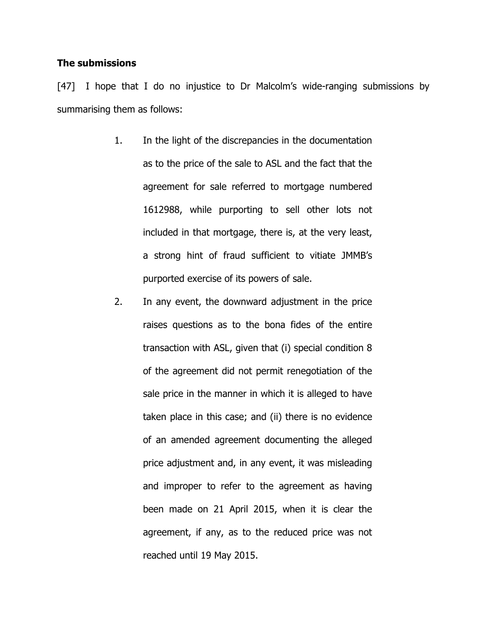#### The submissions

[47] I hope that I do no injustice to Dr Malcolm's wide-ranging submissions by summarising them as follows:

- 1. In the light of the discrepancies in the documentation as to the price of the sale to ASL and the fact that the agreement for sale referred to mortgage numbered 1612988, while purporting to sell other lots not included in that mortgage, there is, at the very least, a strong hint of fraud sufficient to vitiate JMMB's purported exercise of its powers of sale.
- 2. In any event, the downward adjustment in the price raises questions as to the bona fides of the entire transaction with ASL, given that (i) special condition 8 of the agreement did not permit renegotiation of the sale price in the manner in which it is alleged to have taken place in this case; and (ii) there is no evidence of an amended agreement documenting the alleged price adjustment and, in any event, it was misleading and improper to refer to the agreement as having been made on 21 April 2015, when it is clear the agreement, if any, as to the reduced price was not reached until 19 May 2015.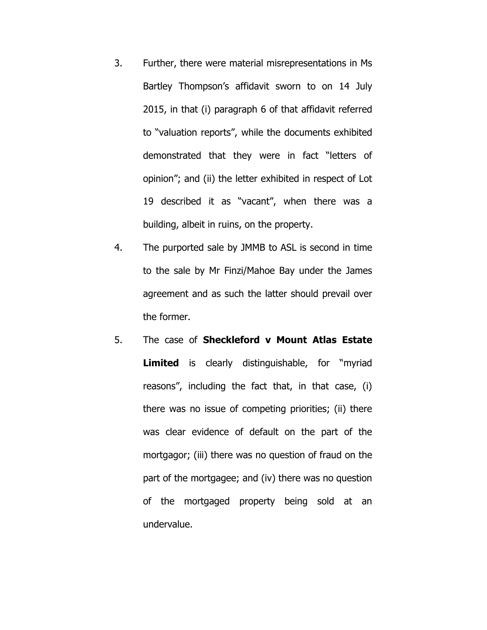- 3. Further, there were material misrepresentations in Ms Bartley Thompson's affidavit sworn to on 14 July 2015, in that (i) paragraph 6 of that affidavit referred to "valuation reports", while the documents exhibited demonstrated that they were in fact "letters of opinion"; and (ii) the letter exhibited in respect of Lot 19 described it as "vacant", when there was a building, albeit in ruins, on the property.
- 4. The purported sale by JMMB to ASL is second in time to the sale by Mr Finzi/Mahoe Bay under the James agreement and as such the latter should prevail over the former.
- 5. The case of Sheckleford v Mount Atlas Estate Limited is clearly distinguishable, for "myriad reasons", including the fact that, in that case, (i) there was no issue of competing priorities; (ii) there was clear evidence of default on the part of the mortgagor; (iii) there was no question of fraud on the part of the mortgagee; and (iv) there was no question of the mortgaged property being sold at an undervalue.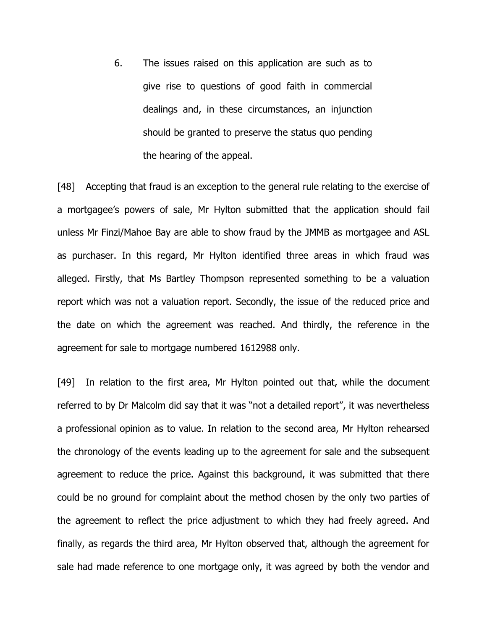6. The issues raised on this application are such as to give rise to questions of good faith in commercial dealings and, in these circumstances, an injunction should be granted to preserve the status quo pending the hearing of the appeal.

[48] Accepting that fraud is an exception to the general rule relating to the exercise of a mortgagee's powers of sale, Mr Hylton submitted that the application should fail unless Mr Finzi/Mahoe Bay are able to show fraud by the JMMB as mortgagee and ASL as purchaser. In this regard, Mr Hylton identified three areas in which fraud was alleged. Firstly, that Ms Bartley Thompson represented something to be a valuation report which was not a valuation report. Secondly, the issue of the reduced price and the date on which the agreement was reached. And thirdly, the reference in the agreement for sale to mortgage numbered 1612988 only.

[49] In relation to the first area, Mr Hylton pointed out that, while the document referred to by Dr Malcolm did say that it was "not a detailed report", it was nevertheless a professional opinion as to value. In relation to the second area, Mr Hylton rehearsed the chronology of the events leading up to the agreement for sale and the subsequent agreement to reduce the price. Against this background, it was submitted that there could be no ground for complaint about the method chosen by the only two parties of the agreement to reflect the price adjustment to which they had freely agreed. And finally, as regards the third area, Mr Hylton observed that, although the agreement for sale had made reference to one mortgage only, it was agreed by both the vendor and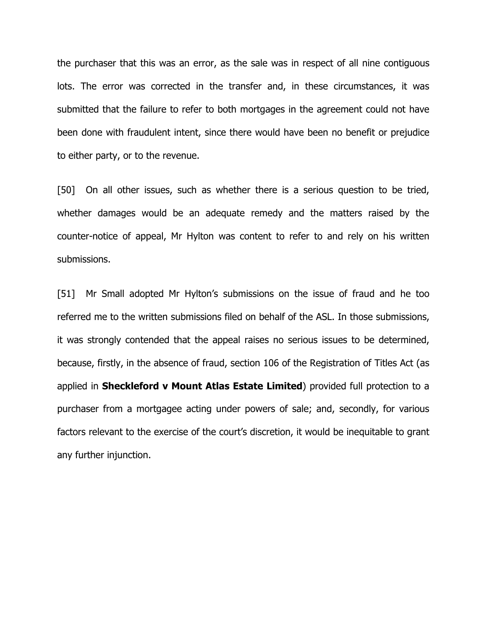the purchaser that this was an error, as the sale was in respect of all nine contiguous lots. The error was corrected in the transfer and, in these circumstances, it was submitted that the failure to refer to both mortgages in the agreement could not have been done with fraudulent intent, since there would have been no benefit or prejudice to either party, or to the revenue.

[50] On all other issues, such as whether there is a serious question to be tried, whether damages would be an adequate remedy and the matters raised by the counter-notice of appeal, Mr Hylton was content to refer to and rely on his written submissions.

[51] Mr Small adopted Mr Hylton's submissions on the issue of fraud and he too referred me to the written submissions filed on behalf of the ASL. In those submissions, it was strongly contended that the appeal raises no serious issues to be determined, because, firstly, in the absence of fraud, section 106 of the Registration of Titles Act (as applied in Sheckleford v Mount Atlas Estate Limited) provided full protection to a purchaser from a mortgagee acting under powers of sale; and, secondly, for various factors relevant to the exercise of the court's discretion, it would be inequitable to grant any further injunction.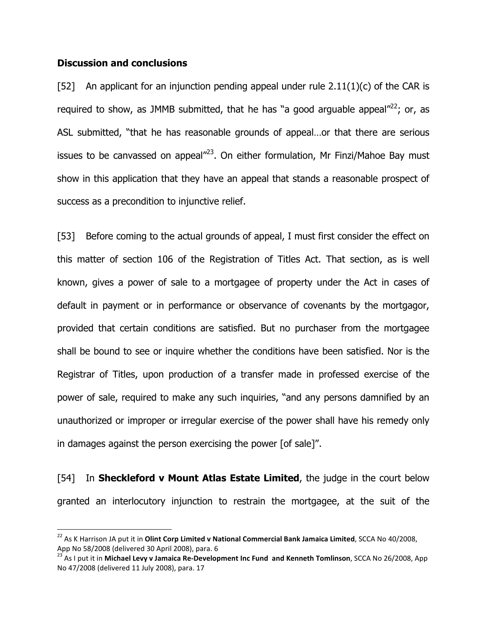#### Discussion and conclusions

 $\overline{a}$ 

[52] An applicant for an injunction pending appeal under rule  $2.11(1)(c)$  of the CAR is required to show, as JMMB submitted, that he has "a good arguable appeal" $^{22}$ ; or, as ASL submitted, "that he has reasonable grounds of appeal…or that there are serious issues to be canvassed on appeal $^{\prime\prime\prime}$ <sup>23</sup>. On either formulation, Mr Finzi/Mahoe Bay must show in this application that they have an appeal that stands a reasonable prospect of success as a precondition to injunctive relief.

[53] Before coming to the actual grounds of appeal, I must first consider the effect on this matter of section 106 of the Registration of Titles Act. That section, as is well known, gives a power of sale to a mortgagee of property under the Act in cases of default in payment or in performance or observance of covenants by the mortgagor, provided that certain conditions are satisfied. But no purchaser from the mortgagee shall be bound to see or inquire whether the conditions have been satisfied. Nor is the Registrar of Titles, upon production of a transfer made in professed exercise of the power of sale, required to make any such inquiries, "and any persons damnified by an unauthorized or improper or irregular exercise of the power shall have his remedy only in damages against the person exercising the power [of sale]".

[54] In Sheckleford v Mount Atlas Estate Limited, the judge in the court below granted an interlocutory injunction to restrain the mortgagee, at the suit of the

 $^{22}$  As K Harrison JA put it in Olint Corp Limited v National Commercial Bank Jamaica Limited, SCCA No 40/2008, App No 58/2008 (delivered 30 April 2008), para. 6

<sup>&</sup>lt;sup>23</sup> As I put it in **Michael Levy v Jamaica Re-Development Inc Fund and Kenneth Tomlinson**, SCCA No 26/2008, App No 47/2008 (delivered 11 July 2008), para. 17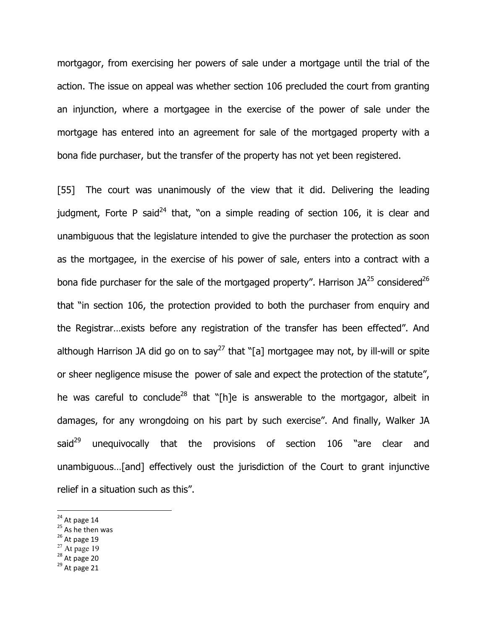mortgagor, from exercising her powers of sale under a mortgage until the trial of the action. The issue on appeal was whether section 106 precluded the court from granting an injunction, where a mortgagee in the exercise of the power of sale under the mortgage has entered into an agreement for sale of the mortgaged property with a bona fide purchaser, but the transfer of the property has not yet been registered.

[55] The court was unanimously of the view that it did. Delivering the leading judgment, Forte P said<sup>24</sup> that, "on a simple reading of section 106, it is clear and unambiguous that the legislature intended to give the purchaser the protection as soon as the mortgagee, in the exercise of his power of sale, enters into a contract with a bona fide purchaser for the sale of the mortgaged property". Harrison  $JA^{25}$  considered<sup>26</sup> that "in section 106, the protection provided to both the purchaser from enquiry and the Registrar…exists before any registration of the transfer has been effected". And although Harrison JA did go on to say<sup>27</sup> that "[a] mortgagee may not, by ill-will or spite or sheer negligence misuse the power of sale and expect the protection of the statute", he was careful to conclude<sup>28</sup> that "[h]e is answerable to the mortgagor, albeit in damages, for any wrongdoing on his part by such exercise". And finally, Walker JA said<sup>29</sup> unequivocally that the provisions of section 106 "are clear and unambiguous…[and] effectively oust the jurisdiction of the Court to grant injunctive relief in a situation such as this".

- $26$  At page 19
- $27$  At page 19
- $28$  At page 20

 $24$  At page 14

<sup>&</sup>lt;sup>25</sup> As he then was

 $29$  At page 21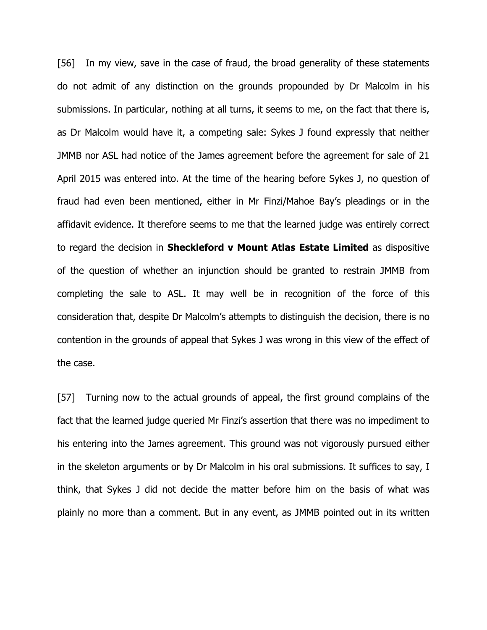[56] In my view, save in the case of fraud, the broad generality of these statements do not admit of any distinction on the grounds propounded by Dr Malcolm in his submissions. In particular, nothing at all turns, it seems to me, on the fact that there is, as Dr Malcolm would have it, a competing sale: Sykes J found expressly that neither JMMB nor ASL had notice of the James agreement before the agreement for sale of 21 April 2015 was entered into. At the time of the hearing before Sykes J, no question of fraud had even been mentioned, either in Mr Finzi/Mahoe Bay's pleadings or in the affidavit evidence. It therefore seems to me that the learned judge was entirely correct to regard the decision in **Sheckleford v Mount Atlas Estate Limited** as dispositive of the question of whether an injunction should be granted to restrain JMMB from completing the sale to ASL. It may well be in recognition of the force of this consideration that, despite Dr Malcolm's attempts to distinguish the decision, there is no contention in the grounds of appeal that Sykes J was wrong in this view of the effect of the case.

[57] Turning now to the actual grounds of appeal, the first ground complains of the fact that the learned judge queried Mr Finzi's assertion that there was no impediment to his entering into the James agreement. This ground was not vigorously pursued either in the skeleton arguments or by Dr Malcolm in his oral submissions. It suffices to say, I think, that Sykes J did not decide the matter before him on the basis of what was plainly no more than a comment. But in any event, as JMMB pointed out in its written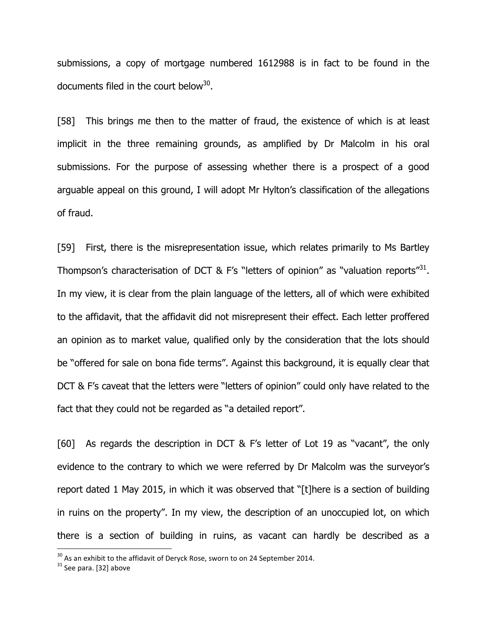submissions, a copy of mortgage numbered 1612988 is in fact to be found in the documents filed in the court below $^{30}$ .

[58] This brings me then to the matter of fraud, the existence of which is at least implicit in the three remaining grounds, as amplified by Dr Malcolm in his oral submissions. For the purpose of assessing whether there is a prospect of a good arguable appeal on this ground, I will adopt Mr Hylton's classification of the allegations of fraud.

[59] First, there is the misrepresentation issue, which relates primarily to Ms Bartley Thompson's characterisation of DCT & F's "letters of opinion" as "valuation reports"<sup>31</sup>. In my view, it is clear from the plain language of the letters, all of which were exhibited to the affidavit, that the affidavit did not misrepresent their effect. Each letter proffered an opinion as to market value, qualified only by the consideration that the lots should be "offered for sale on bona fide terms". Against this background, it is equally clear that DCT & F's caveat that the letters were "letters of opinion" could only have related to the fact that they could not be regarded as "a detailed report".

[60] As regards the description in DCT & F's letter of Lot 19 as "vacant", the only evidence to the contrary to which we were referred by Dr Malcolm was the surveyor's report dated 1 May 2015, in which it was observed that "[t]here is a section of building in ruins on the property". In my view, the description of an unoccupied lot, on which there is a section of building in ruins, as vacant can hardly be described as a

 $30$  As an exhibit to the affidavit of Deryck Rose, sworn to on 24 September 2014.

<sup>&</sup>lt;sup>31</sup> See para. [32] above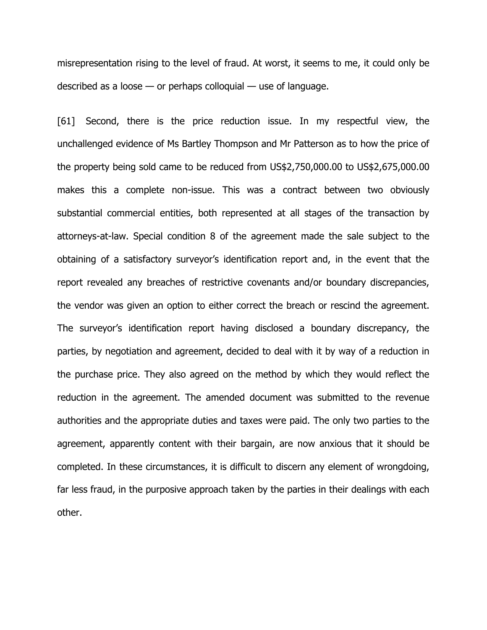misrepresentation rising to the level of fraud. At worst, it seems to me, it could only be described as a loose — or perhaps colloquial — use of language.

[61] Second, there is the price reduction issue. In my respectful view, the unchallenged evidence of Ms Bartley Thompson and Mr Patterson as to how the price of the property being sold came to be reduced from US\$2,750,000.00 to US\$2,675,000.00 makes this a complete non-issue. This was a contract between two obviously substantial commercial entities, both represented at all stages of the transaction by attorneys-at-law. Special condition 8 of the agreement made the sale subject to the obtaining of a satisfactory surveyor's identification report and, in the event that the report revealed any breaches of restrictive covenants and/or boundary discrepancies, the vendor was given an option to either correct the breach or rescind the agreement. The surveyor's identification report having disclosed a boundary discrepancy, the parties, by negotiation and agreement, decided to deal with it by way of a reduction in the purchase price. They also agreed on the method by which they would reflect the reduction in the agreement. The amended document was submitted to the revenue authorities and the appropriate duties and taxes were paid. The only two parties to the agreement, apparently content with their bargain, are now anxious that it should be completed. In these circumstances, it is difficult to discern any element of wrongdoing, far less fraud, in the purposive approach taken by the parties in their dealings with each other.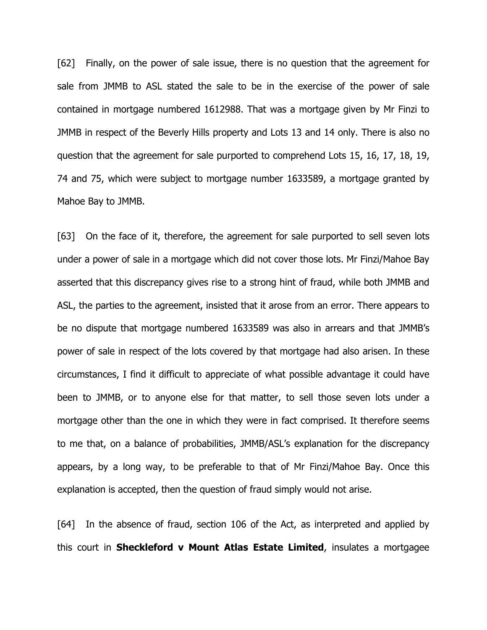[62] Finally, on the power of sale issue, there is no question that the agreement for sale from JMMB to ASL stated the sale to be in the exercise of the power of sale contained in mortgage numbered 1612988. That was a mortgage given by Mr Finzi to JMMB in respect of the Beverly Hills property and Lots 13 and 14 only. There is also no question that the agreement for sale purported to comprehend Lots 15, 16, 17, 18, 19, 74 and 75, which were subject to mortgage number 1633589, a mortgage granted by Mahoe Bay to JMMB.

[63] On the face of it, therefore, the agreement for sale purported to sell seven lots under a power of sale in a mortgage which did not cover those lots. Mr Finzi/Mahoe Bay asserted that this discrepancy gives rise to a strong hint of fraud, while both JMMB and ASL, the parties to the agreement, insisted that it arose from an error. There appears to be no dispute that mortgage numbered 1633589 was also in arrears and that JMMB's power of sale in respect of the lots covered by that mortgage had also arisen. In these circumstances, I find it difficult to appreciate of what possible advantage it could have been to JMMB, or to anyone else for that matter, to sell those seven lots under a mortgage other than the one in which they were in fact comprised. It therefore seems to me that, on a balance of probabilities, JMMB/ASL's explanation for the discrepancy appears, by a long way, to be preferable to that of Mr Finzi/Mahoe Bay. Once this explanation is accepted, then the question of fraud simply would not arise.

[64] In the absence of fraud, section 106 of the Act, as interpreted and applied by this court in **Sheckleford v Mount Atlas Estate Limited**, insulates a mortgagee